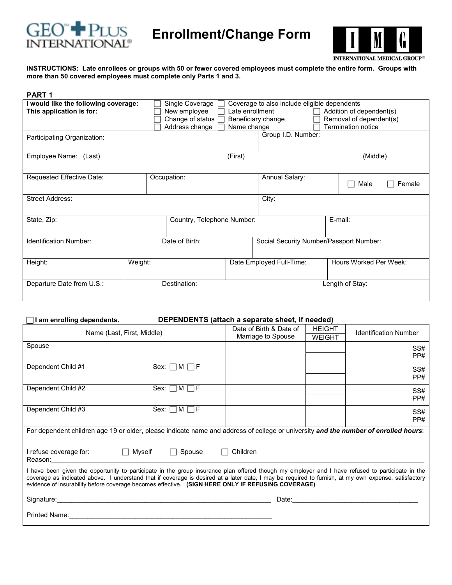

 **Enrollment/Change Form** 



**INSTRUCTIONS: Late enrollees or groups with 50 or fewer covered employees must complete the entire form. Groups with more than 50 covered employees must complete only Parts 1 and 3.** 

| <b>PART 1</b>                                                    |         |                                                                         |                                |                                                                    |  |                                                                           |
|------------------------------------------------------------------|---------|-------------------------------------------------------------------------|--------------------------------|--------------------------------------------------------------------|--|---------------------------------------------------------------------------|
| I would like the following coverage:<br>This application is for: |         | Single Coverage<br>New employee<br>Change of status  <br>Address change | Late enrollment<br>Name change | Coverage to also include eligible dependents<br>Beneficiary change |  | Addition of dependent(s)<br>Removal of dependent(s)<br>Termination notice |
| Participating Organization:                                      |         |                                                                         |                                | Group I.D. Number:                                                 |  |                                                                           |
| Employee Name: (Last)                                            |         |                                                                         | (First)                        |                                                                    |  | (Middle)                                                                  |
| Requested Effective Date:                                        |         | Occupation:                                                             |                                | Annual Salary:                                                     |  | Male<br>Female<br>×                                                       |
| <b>Street Address:</b>                                           |         |                                                                         |                                | City:                                                              |  |                                                                           |
| State, Zip:<br>Country, Telephone Number:                        |         | E-mail:                                                                 |                                |                                                                    |  |                                                                           |
| <b>Identification Number:</b>                                    |         | Date of Birth:                                                          |                                | Social Security Number/Passport Number:                            |  |                                                                           |
| Height:                                                          | Weight: |                                                                         |                                | Date Employed Full-Time:                                           |  | Hours Worked Per Week:                                                    |
| Departure Date from U.S.:                                        |         | Destination:                                                            |                                |                                                                    |  | Length of Stay:                                                           |

## F **I am enrolling dependents. DEPENDENTS (attach a separate sheet, if needed)**

| Name (Last, First, Middle)                                                                                                                                                                                                                                                                                                                                                                                    | Date of Birth & Date of<br>Marriage to Spouse | <b>HEIGHT</b><br><b>WEIGHT</b> | <b>Identification Number</b>      |  |
|---------------------------------------------------------------------------------------------------------------------------------------------------------------------------------------------------------------------------------------------------------------------------------------------------------------------------------------------------------------------------------------------------------------|-----------------------------------------------|--------------------------------|-----------------------------------|--|
| Spouse                                                                                                                                                                                                                                                                                                                                                                                                        |                                               |                                | SS#<br>PP#                        |  |
| Dependent Child #1<br>Sex: $\Box M \Box F$                                                                                                                                                                                                                                                                                                                                                                    |                                               |                                | SS#<br>PP#                        |  |
| Dependent Child #2<br>Sex: $\Box M \Box F$                                                                                                                                                                                                                                                                                                                                                                    |                                               |                                | SS#<br>PP#                        |  |
| Dependent Child #3<br>Sex: $\Box M \Box F$                                                                                                                                                                                                                                                                                                                                                                    |                                               |                                | SS#<br>PP#                        |  |
| For dependent children age 19 or older, please indicate name and address of college or university and the number of enrolled hours:                                                                                                                                                                                                                                                                           |                                               |                                |                                   |  |
| I refuse coverage for:<br>Myself<br>Spouse<br>$\perp$<br>Reason: The contract of the contract of the contract of the contract of the contract of the contract of the contract of the contract of the contract of the contract of the contract of the contract of the contract of the co                                                                                                                       | Children                                      |                                |                                   |  |
| I have been given the opportunity to participate in the group insurance plan offered though my employer and I have refused to participate in the<br>coverage as indicated above. I understand that if coverage is desired at a later date, I may be required to furnish, at my own expense, satisfactory<br>evidence of insurability before coverage becomes effective. (SIGN HERE ONLY IF REFUSING COVERAGE) |                                               |                                |                                   |  |
|                                                                                                                                                                                                                                                                                                                                                                                                               |                                               |                                | Date: <u>____________________</u> |  |
| Printed Name: 1988 Contract Communication of the Communication of the Communication of the Communication of the Communication of the Communication of the Communication of the Communication of the Communication of the Commu                                                                                                                                                                                |                                               |                                |                                   |  |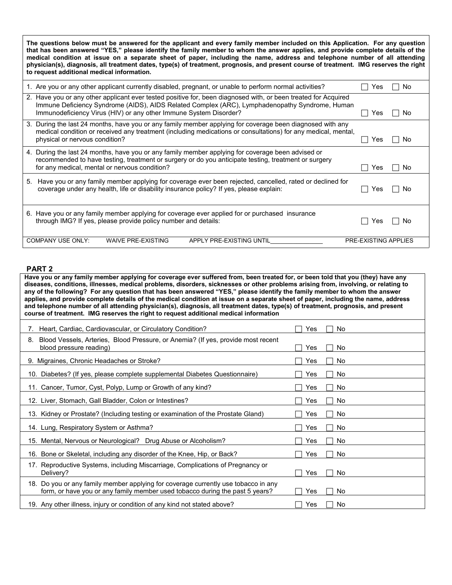**The questions below must be answered for the applicant and every family member included on this Application. For any question that has been answered "YES," please identify the family member to whom the answer applies, and provide complete details of the medical condition at issue on a separate sheet of paper, including the name, address and telephone number of all attending physician(s), diagnosis, all treatment dates, type(s) of treatment, prognosis, and present course of treatment. IMG reserves the right to request additional medical information.** 

| 1. Are you or any other applicant currently disabled, pregnant, or unable to perform normal activities?                                                                                                                                                                               | Yes<br>No.                  |
|---------------------------------------------------------------------------------------------------------------------------------------------------------------------------------------------------------------------------------------------------------------------------------------|-----------------------------|
| 2. Have you or any other applicant ever tested positive for, been diagnosed with, or been treated for Acquired<br>Immune Deficiency Syndrome (AIDS), AIDS Related Complex (ARC), Lymphadenopathy Syndrome, Human<br>Immunodeficiency Virus (HIV) or any other Immune System Disorder? | Yes<br>No.                  |
| 3. During the last 24 months, have you or any family member applying for coverage been diagnosed with any<br>medical condition or received any treatment (including medications or consultations) for any medical, mental,<br>physical or nervous condition?                          | Yes<br>No.                  |
| 4. During the last 24 months, have you or any family member applying for coverage been advised or<br>recommended to have testing, treatment or surgery or do you anticipate testing, treatment or surgery<br>for any medical, mental or nervous condition?                            | res<br>No.                  |
| 5. Have you or any family member applying for coverage ever been rejected, cancelled, rated or declined for<br>coverage under any health, life or disability insurance policy? If yes, please explain:                                                                                | Yes<br>-No                  |
| 6. Have you or any family member applying for coverage ever applied for or purchased insurance<br>through IMG? If yes, please provide policy number and details:                                                                                                                      | res<br>No.                  |
| <b>COMPANY USE ONLY:</b><br><b>WAIVE PRE-EXISTING</b><br>APPLY PRE-EXISTING UNTIL                                                                                                                                                                                                     | <b>PRE-EXISTING APPLIES</b> |

## **PART 2**

**Have you or any family member applying for coverage ever suffered from, been treated for, or been told that you (they) have any diseases, conditions, illnesses, medical problems, disorders, sicknesses or other problems arising from, involving, or relating to any of the following? For any question that has been answered "YES," please identify the family member to whom the answer applies, and provide complete details of the medical condition at issue on a separate sheet of paper, including the name, address and telephone number of all attending physician(s), diagnosis, all treatment dates, type(s) of treatment, prognosis, and present course of treatment. IMG reserves the right to request additional medical information**

| Heart, Cardiac, Cardiovascular, or Circulatory Condition?                                                                                                             | Yes<br>No. |
|-----------------------------------------------------------------------------------------------------------------------------------------------------------------------|------------|
| Blood Vessels, Arteries, Blood Pressure, or Anemia? (If yes, provide most recent<br>8.<br>blood pressure reading)                                                     | No<br>Yes  |
| 9. Migraines, Chronic Headaches or Stroke?                                                                                                                            | No<br>Yes  |
| 10. Diabetes? (If yes, please complete supplemental Diabetes Questionnaire)                                                                                           | No<br>Yes  |
| 11. Cancer, Tumor, Cyst, Polyp, Lump or Growth of any kind?                                                                                                           | No<br>Yes  |
| 12. Liver, Stomach, Gall Bladder, Colon or Intestines?                                                                                                                | No<br>Yes  |
| 13. Kidney or Prostate? (Including testing or examination of the Prostate Gland)                                                                                      | No.<br>Yes |
| 14. Lung, Respiratory System or Asthma?                                                                                                                               | No<br>Yes  |
| 15. Mental, Nervous or Neurological? Drug Abuse or Alcoholism?                                                                                                        | No<br>Yes  |
| 16. Bone or Skeletal, including any disorder of the Knee, Hip, or Back?                                                                                               | No<br>Yes  |
| 17. Reproductive Systems, including Miscarriage, Complications of Pregnancy or<br>Delivery?                                                                           | No<br>Yes  |
| Do you or any family member applying for coverage currently use tobacco in any<br>18.<br>form, or have you or any family member used tobacco during the past 5 years? | No<br>Yes  |
| 19. Any other illness, injury or condition of any kind not stated above?                                                                                              | No<br>Yes  |